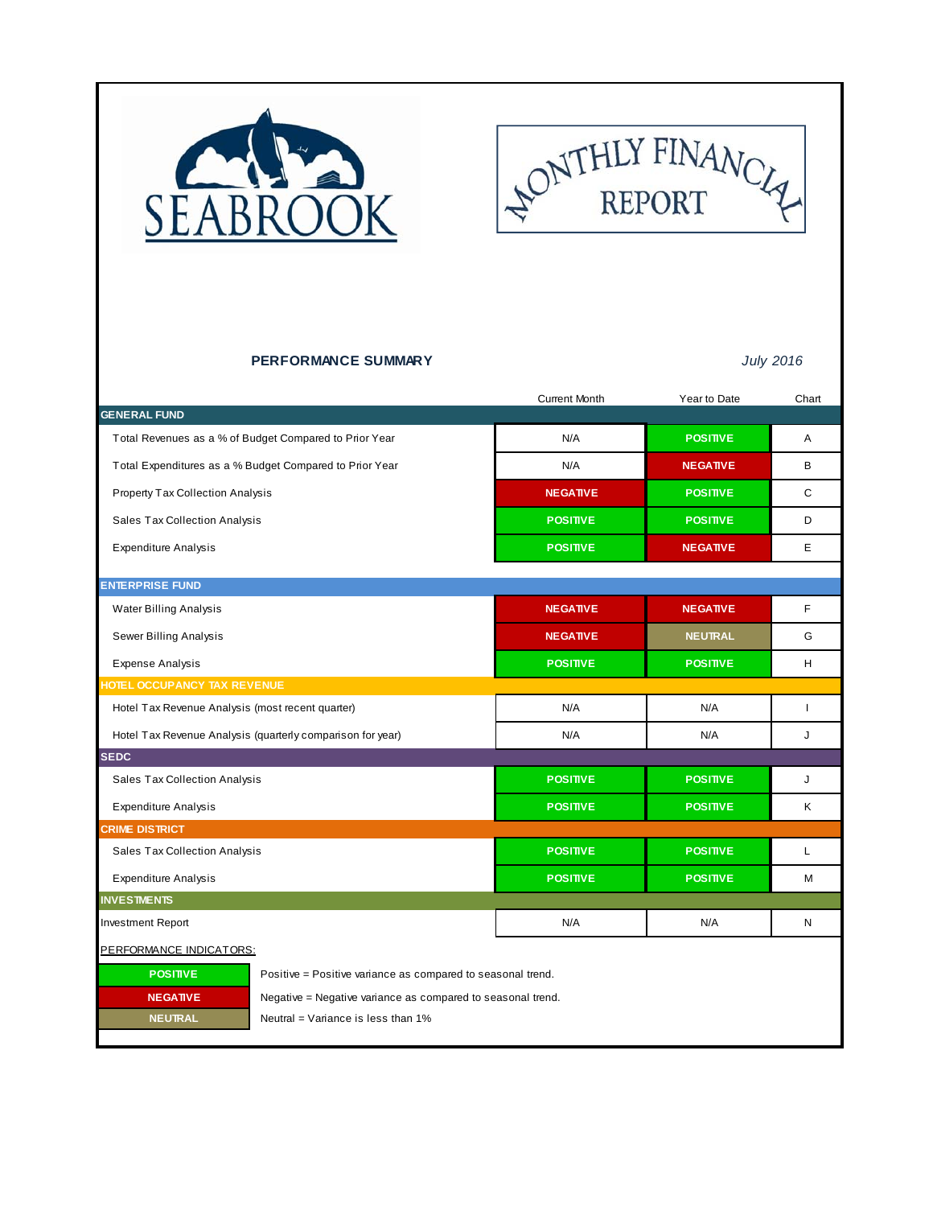



### **PERFORMANCE SUMMARY** *July 2016*

|                                                            |                                                             | <b>Current Month</b> | Year to Date    | Chart |  |  |
|------------------------------------------------------------|-------------------------------------------------------------|----------------------|-----------------|-------|--|--|
| <b>GENERAL FUND</b>                                        |                                                             |                      |                 |       |  |  |
|                                                            | Total Revenues as a % of Budget Compared to Prior Year      | N/A                  | <b>POSITIVE</b> | A     |  |  |
|                                                            | Total Expenditures as a % Budget Compared to Prior Year     | N/A                  | <b>NEGATIVE</b> | B     |  |  |
| Property Tax Collection Analysis                           |                                                             | <b>NEGATIVE</b>      | <b>POSITIVE</b> | C     |  |  |
| Sales Tax Collection Analysis                              |                                                             | <b>POSITIVE</b>      | <b>POSITIVE</b> | D     |  |  |
| <b>Expenditure Analysis</b>                                |                                                             | <b>POSITIVE</b>      | <b>NEGATIVE</b> | E     |  |  |
|                                                            |                                                             |                      |                 |       |  |  |
| <b>ENTERPRISE FUND</b>                                     |                                                             |                      |                 |       |  |  |
| Water Billing Analysis                                     |                                                             | <b>NEGATIVE</b>      | <b>NEGATIVE</b> | F     |  |  |
| Sewer Billing Analysis                                     |                                                             | <b>NEGATIVE</b>      | <b>NEUTRAL</b>  | G     |  |  |
| <b>Expense Analysis</b>                                    |                                                             | <b>POSITIVE</b>      | <b>POSITIVE</b> | H     |  |  |
| HOTEL OCCUPANCY TAX REVENUE                                |                                                             |                      |                 |       |  |  |
| Hotel Tax Revenue Analysis (most recent quarter)           |                                                             | N/A                  | N/A             | ı     |  |  |
| Hotel Tax Revenue Analysis (quarterly comparison for year) |                                                             | N/A                  | N/A             | J     |  |  |
| <b>SEDC</b>                                                |                                                             |                      |                 |       |  |  |
| Sales Tax Collection Analysis                              |                                                             | <b>POSITIVE</b>      | <b>POSITIVE</b> | J     |  |  |
| <b>Expenditure Analysis</b>                                |                                                             | <b>POSITIVE</b>      | <b>POSITIVE</b> | Κ     |  |  |
| <b>CRIME DISTRICT</b>                                      |                                                             |                      |                 |       |  |  |
| Sales Tax Collection Analysis                              |                                                             | <b>POSITIVE</b>      | <b>POSITIVE</b> | L     |  |  |
| <b>Expenditure Analysis</b>                                |                                                             | <b>POSITIVE</b>      | <b>POSITIVE</b> | М     |  |  |
| <b>INVESTMENTS</b>                                         |                                                             |                      |                 |       |  |  |
| Investment Report                                          |                                                             | N/A                  | N/A             | N     |  |  |
| PERFORMANCE INDICATORS:                                    |                                                             |                      |                 |       |  |  |
| <b>POSITIVE</b>                                            | Positive = Positive variance as compared to seasonal trend. |                      |                 |       |  |  |
| <b>NEGATIVE</b>                                            | Negative = Negative variance as compared to seasonal trend. |                      |                 |       |  |  |
| <b>NEUTRAL</b><br>Neutral = Variance is less than 1%       |                                                             |                      |                 |       |  |  |
|                                                            |                                                             |                      |                 |       |  |  |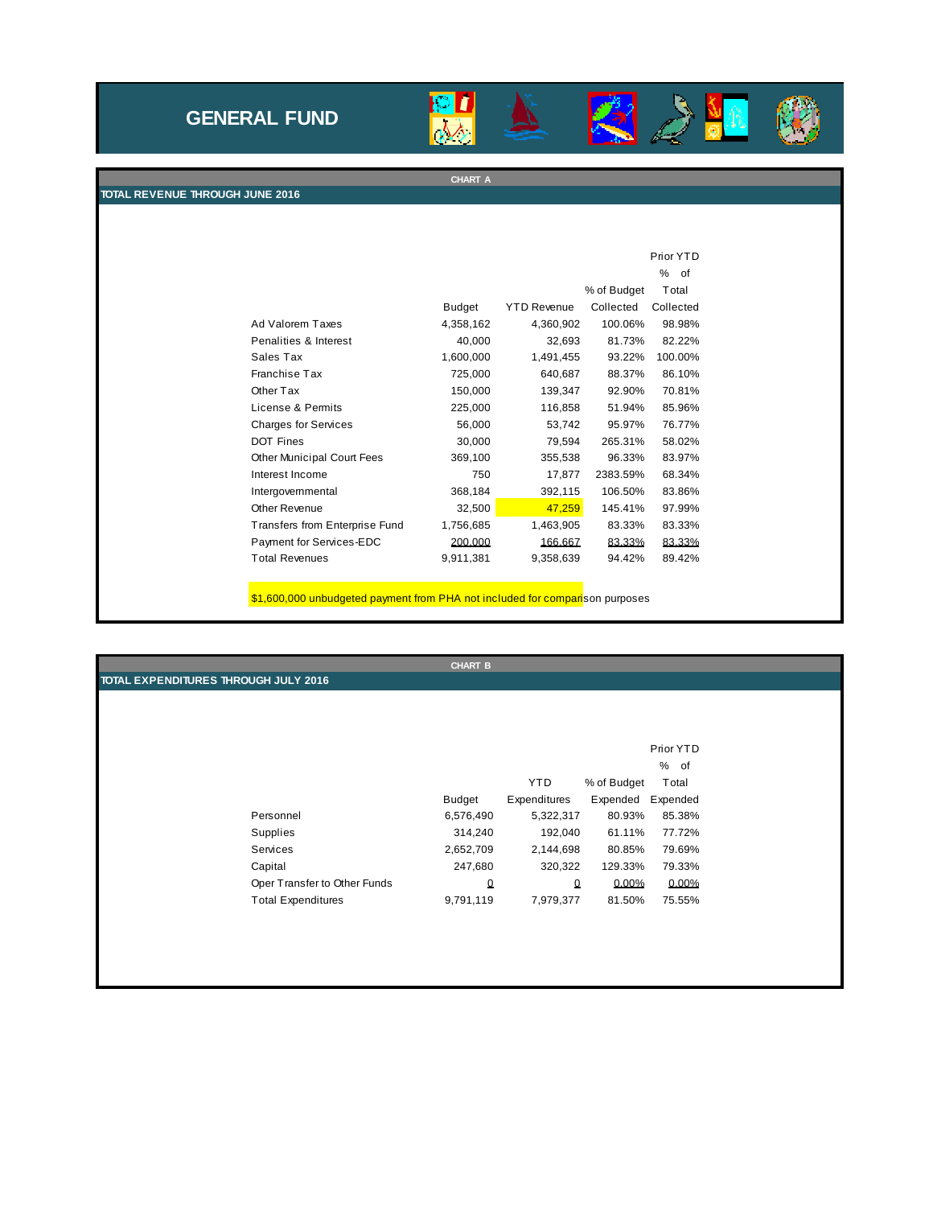# **GENERAL FUND**



**CHART A**





п

**TOTAL REVENUE THROUGH JUNE 2016**

|                                   |               |                    |             | Prior YTD |
|-----------------------------------|---------------|--------------------|-------------|-----------|
|                                   |               |                    |             | %<br>of   |
|                                   |               |                    | % of Budget | Total     |
|                                   | <b>Budget</b> | <b>YTD Revenue</b> | Collected   | Collected |
| Ad Valorem Taxes                  | 4,358,162     | 4,360,902          | 100.06%     | 98.98%    |
| Penalities & Interest             | 40,000        | 32,693             | 81.73%      | 82.22%    |
| Sales Tax                         | 1,600,000     | 1,491,455          | 93.22%      | 100.00%   |
| Franchise Tax                     | 725,000       | 640,687            | 88.37%      | 86.10%    |
| Other Tax                         | 150,000       | 139,347            | 92.90%      | 70.81%    |
| License & Permits                 | 225,000       | 116,858            | 51.94%      | 85.96%    |
| <b>Charges for Services</b>       | 56,000        | 53,742             | 95.97%      | 76.77%    |
| <b>DOT Fines</b>                  | 30,000        | 79,594             | 265.31%     | 58.02%    |
| <b>Other Municipal Court Fees</b> | 369,100       | 355,538            | 96.33%      | 83.97%    |
| Interest Income                   | 750           | 17,877             | 2383.59%    | 68.34%    |
| Intergovernmental                 | 368,184       | 392,115            | 106.50%     | 83.86%    |
| Other Revenue                     | 32,500        | 47,259             | 145.41%     | 97.99%    |
| Transfers from Enterprise Fund    | 1,756,685     | 1,463,905          | 83.33%      | 83.33%    |
| Payment for Services-EDC          | 200.000       | 166.667            | 83.33%      | 83.33%    |
| <b>Total Revenues</b>             | 9,911,381     | 9,358,639          | 94.42%      | 89.42%    |

\$1,600,000 unbudgeted payment from PHA not included for comparison purposes

|                                      | <b>CHART B</b> |              |             |           |
|--------------------------------------|----------------|--------------|-------------|-----------|
| TOTAL EXPENDITURES THROUGH JULY 2016 |                |              |             |           |
|                                      |                |              |             |           |
|                                      |                |              |             |           |
|                                      |                |              |             |           |
|                                      |                |              |             | Prior YTD |
|                                      |                |              |             | % of      |
|                                      |                | <b>YTD</b>   | % of Budget | Total     |
|                                      | <b>Budget</b>  | Expenditures | Expended    | Expended  |
| Personnel                            | 6,576,490      | 5,322,317    | 80.93%      | 85.38%    |
| Supplies                             | 314,240        | 192,040      | 61.11%      | 77.72%    |
| Services                             | 2,652,709      | 2,144,698    | 80.85%      | 79.69%    |
| Capital                              | 247,680        | 320,322      | 129.33%     | 79.33%    |
| Oper Transfer to Other Funds         | $\Omega$       | 0            | 0.00%       | 0.00%     |
| <b>Total Expenditures</b>            | 9,791,119      | 7,979,377    | 81.50%      | 75.55%    |
|                                      |                |              |             |           |
|                                      |                |              |             |           |
|                                      |                |              |             |           |
|                                      |                |              |             |           |
|                                      |                |              |             |           |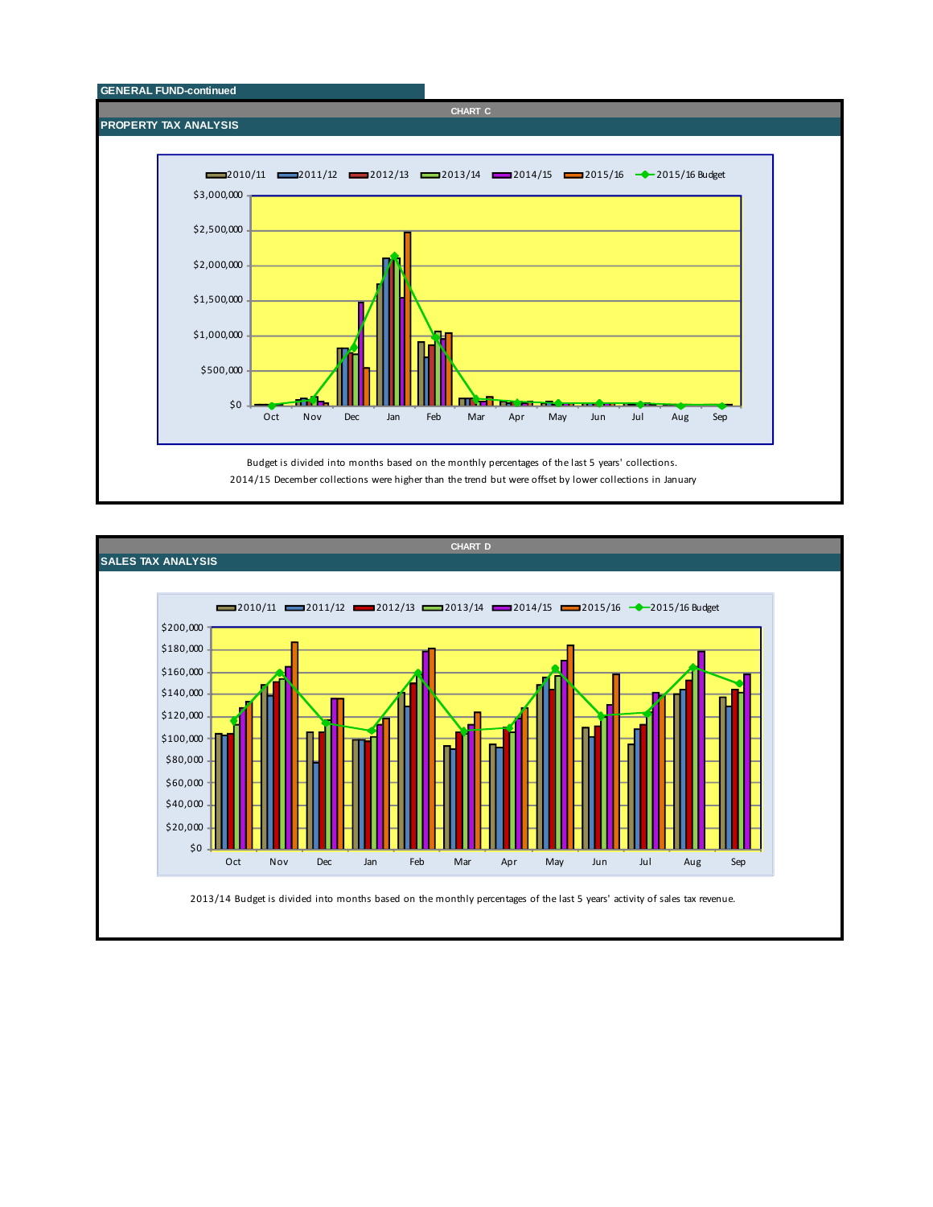

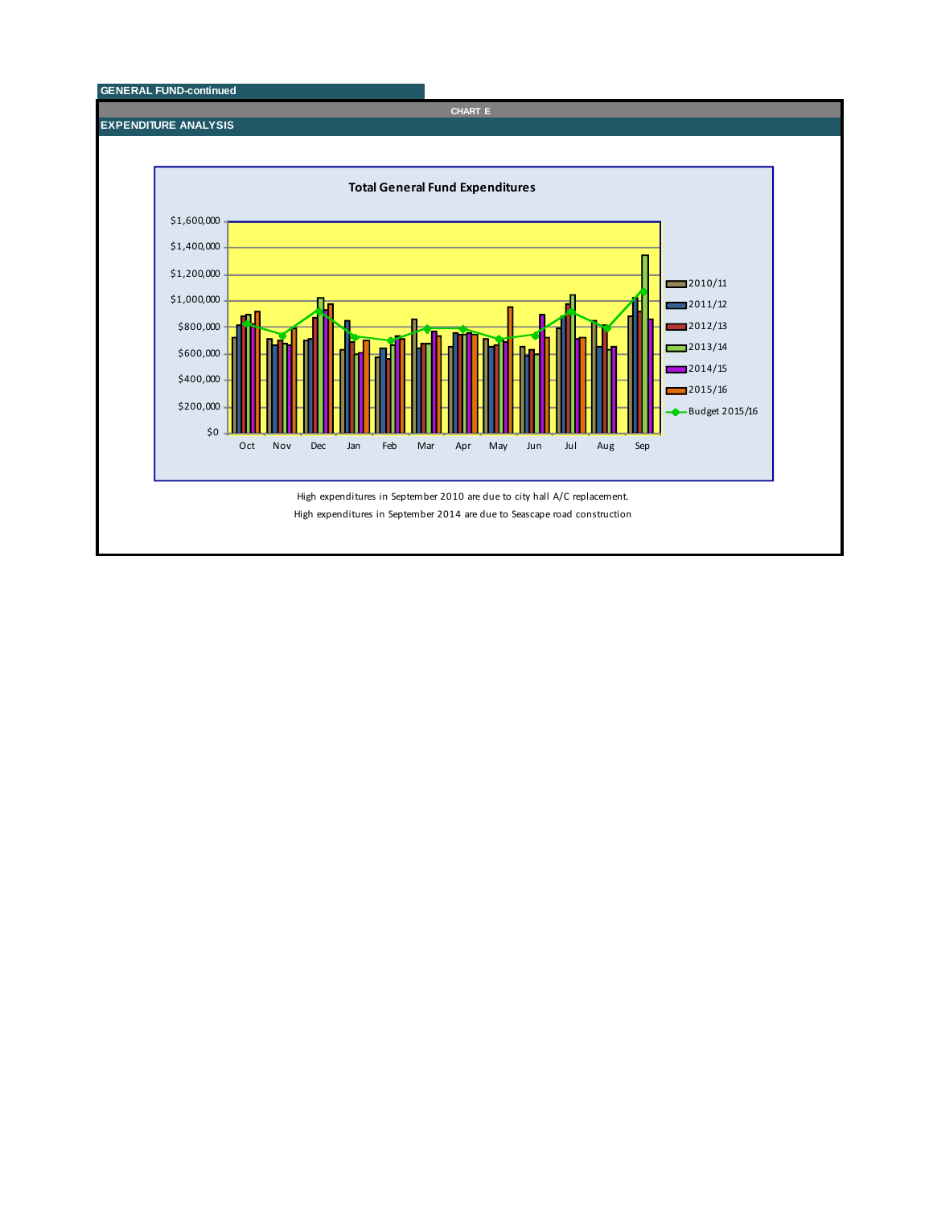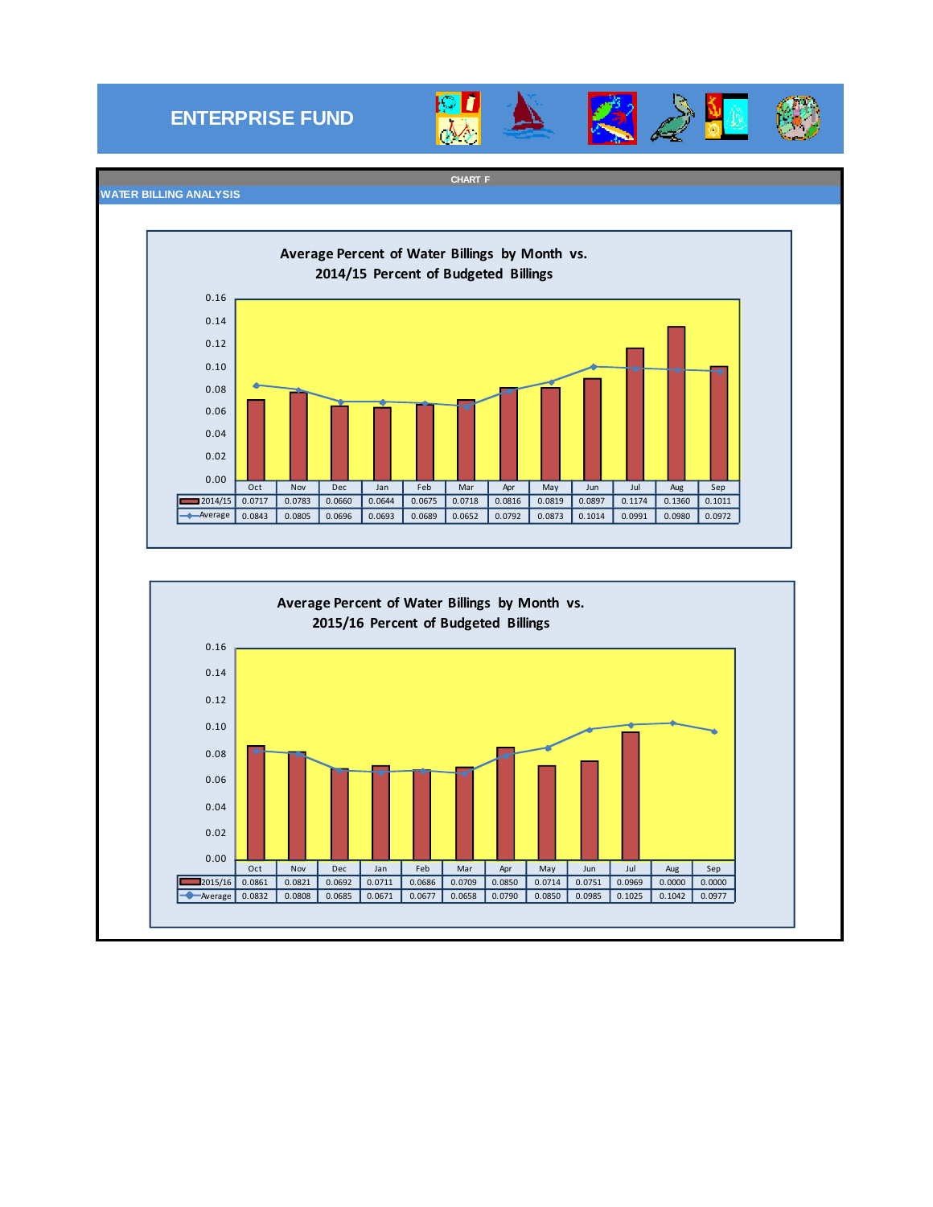# **ENTERPRISE FUND**



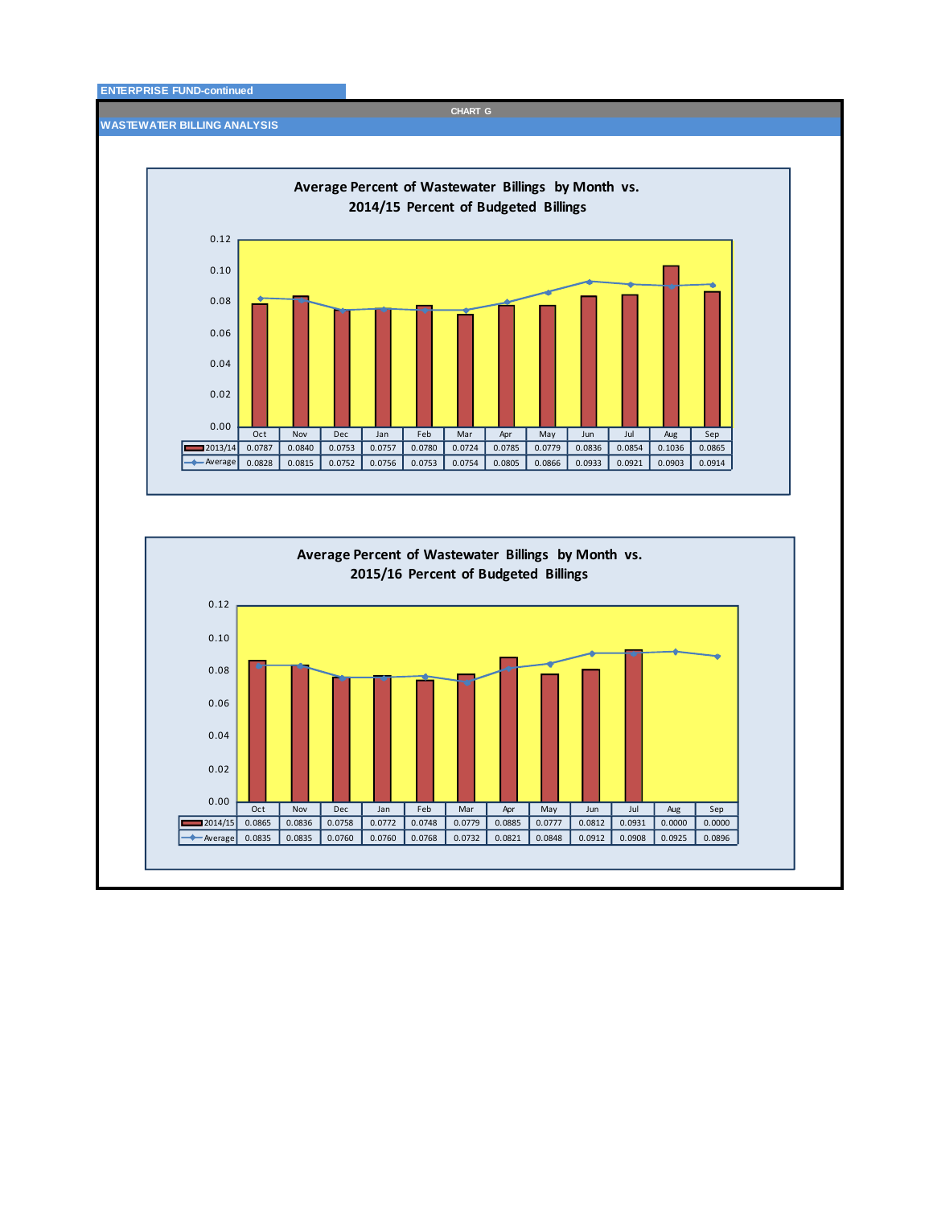### **ENTERPRISE FUND-continued**

**WASTEWATER BILLING ANALYSIS**





**CHART G**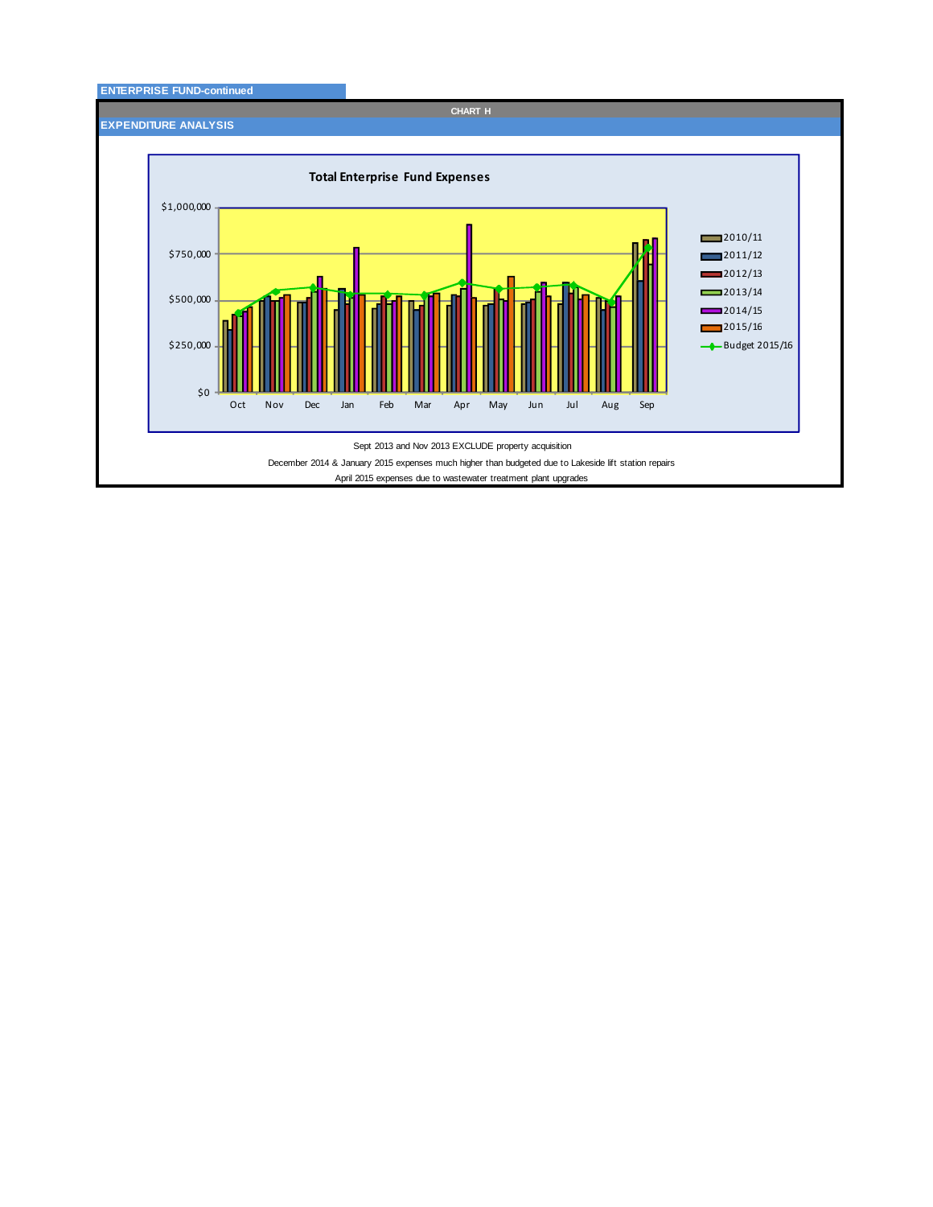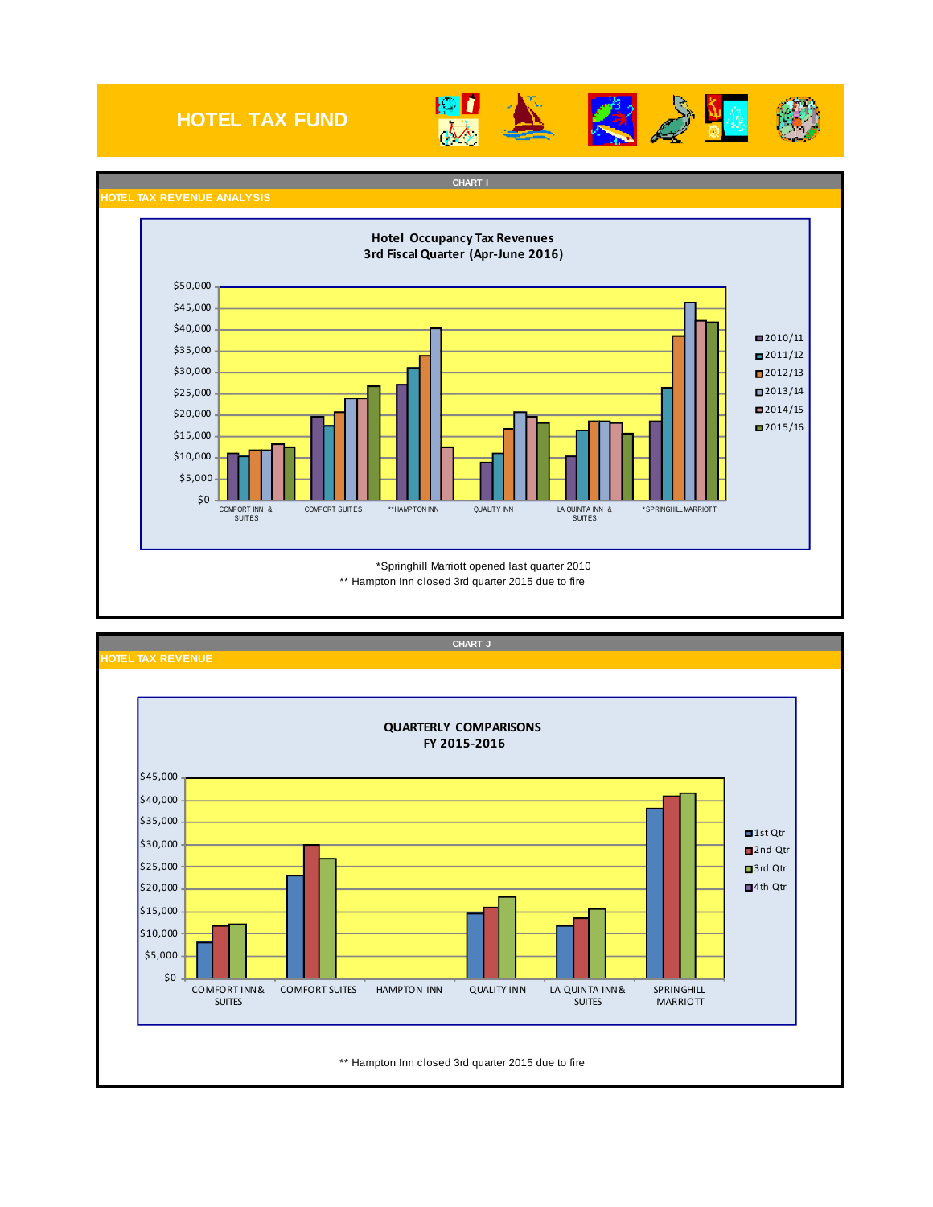# **HOTEL TAX FUND**







**CHART I HOTEL TAX REVENUE ANALYSIS** \*Springhill Marriott opened last quarter 2010 \*\* Hampton Inn closed 3rd quarter 2015 due to fire \$0 \$5,000 \$10,000 \$15,000 \$20,000 \$25,000 \$30,000 \$35,000 \$40,000 \$45,000 \$50,000 COMFORT INN & SUITES COMFORT SUITES \*\*HAMPTON INN QUALITY INN LA QUINTA INN & SUITES \*SPRINGHILL MARRIOTT ■2010/11  $2011/12$  $2012/13$ ■2013/14  $2014/15$  $2015/16$ **Hotel Occupancy Tax Revenues 3rd Fiscal Quarter (Apr‐June 2016)**

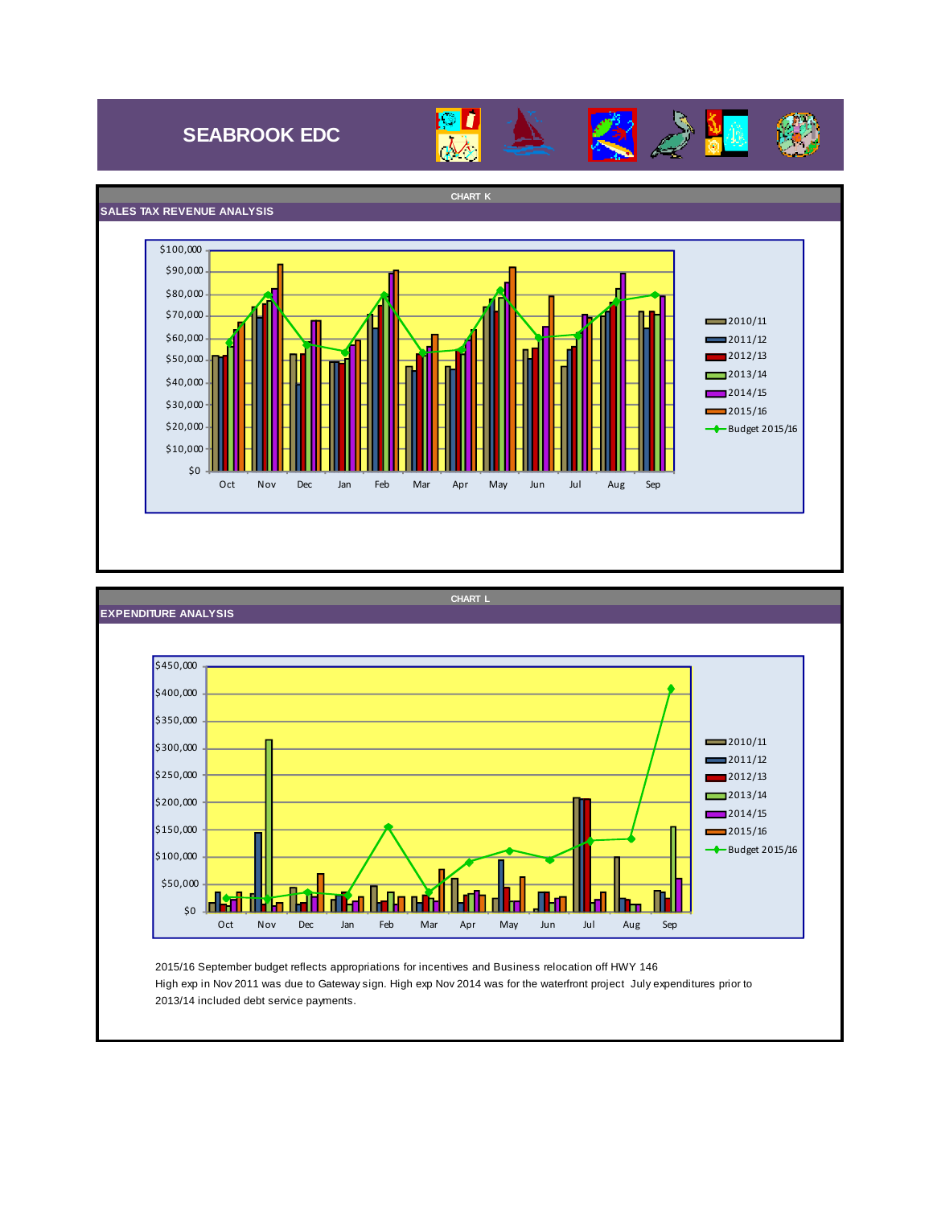# **SEABROOK EDC**





### **SALES TAX REVENUE ANALYSIS CHART K**  $$0\,$ \$10,000 \$20,000  $$30,000$ \$40,000  $$50,000$ \$60,000 \$70,000 \$80,000 \$90,000 \$100,000 Oct Nov Dec Jan Feb Mar Apr May Jun Jul Aug Sep  $2010/11$  $2011/12$ 2012/13  $2013/14$ 2014/15  $2015/16$ **←** Budget 2015/16



2013/14 included debt service payments.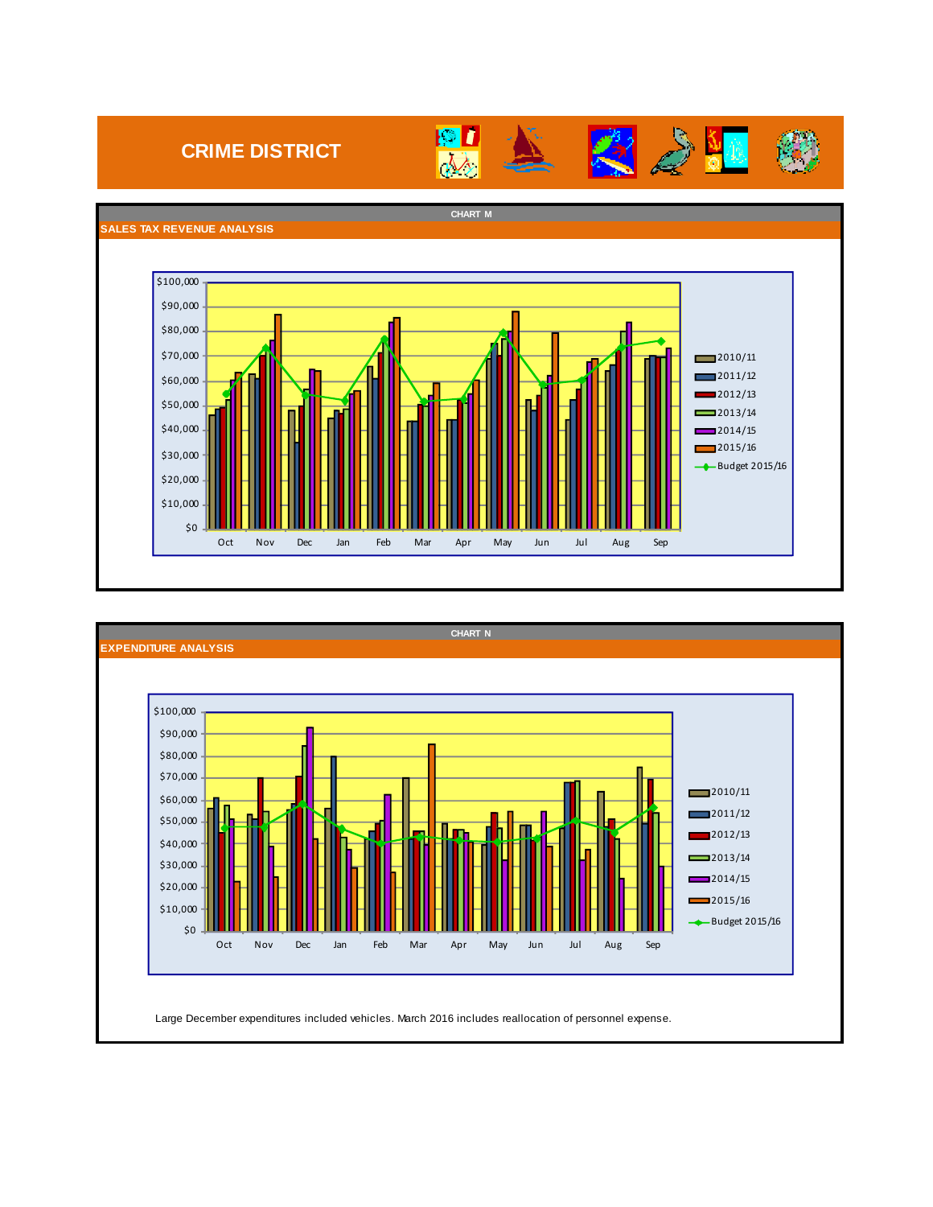# **CRIME DISTRICT**



**B** 

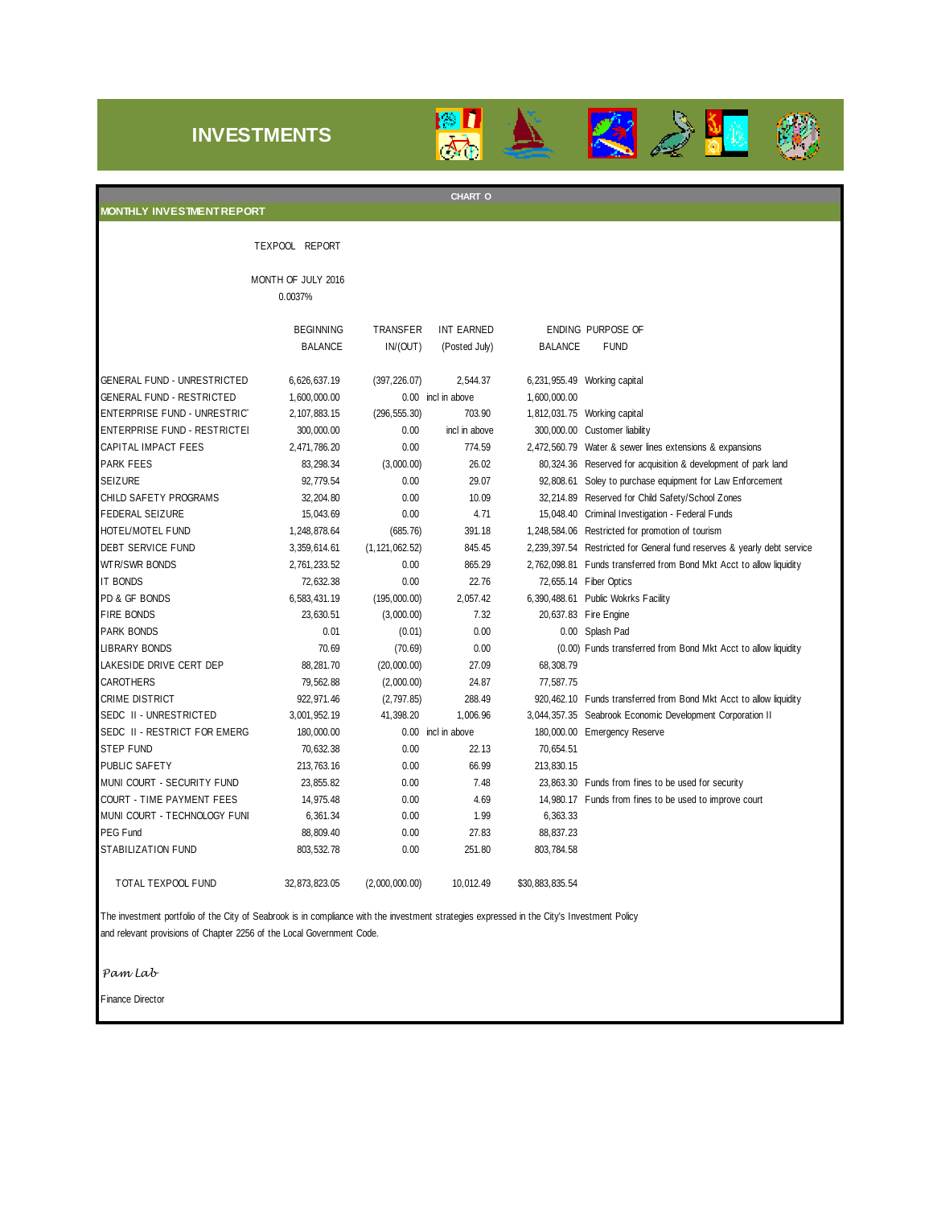## **INVESTMENTS**





The investment portfolio of the City of Seabrook is in compliance with the investment strategies expressed in the City's Investment Policy and relevant provisions of Chapter 2256 of the Local Government Code.

*Pam Lab*

Finance Director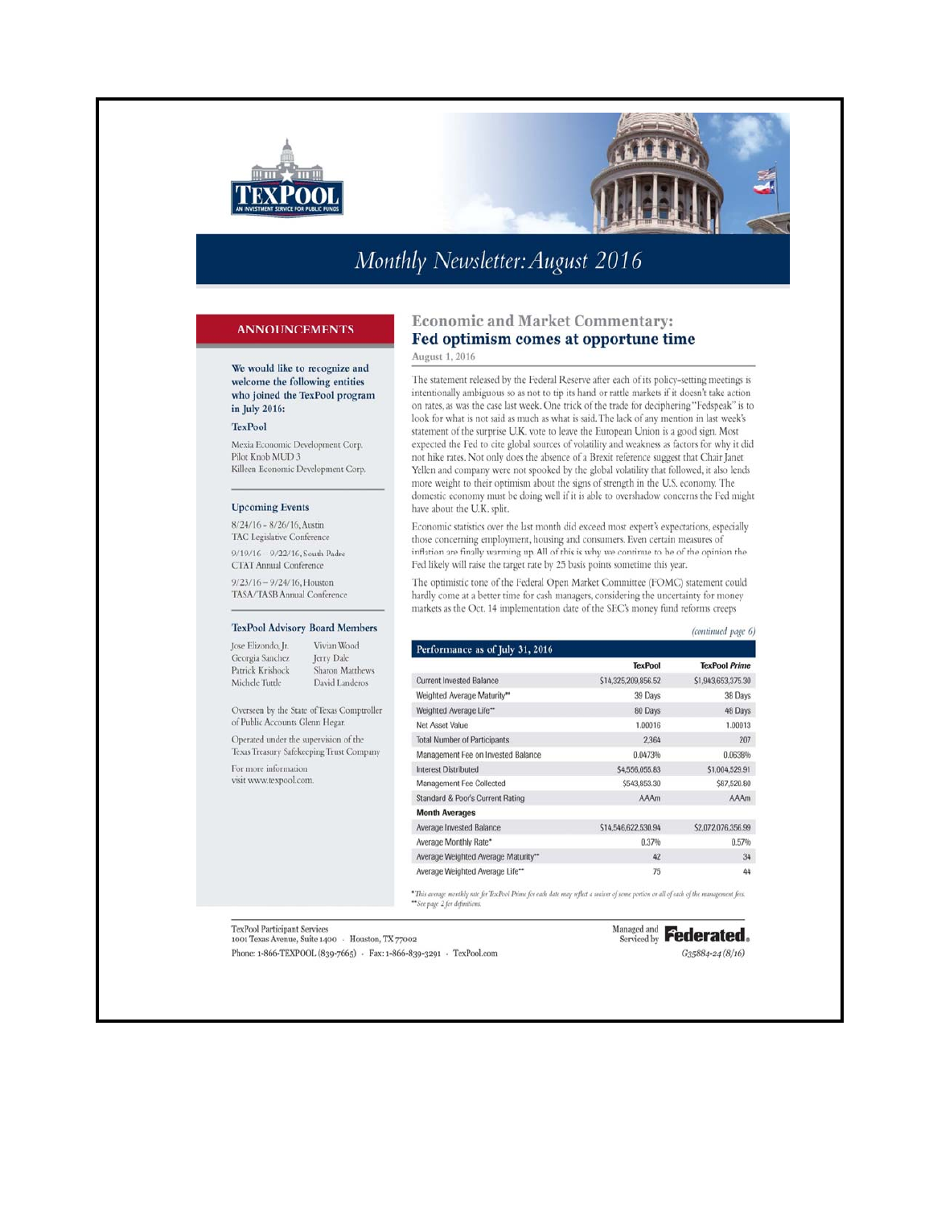

# Monthly Newsletter: August 2016

### **ANNOUNCEMENTS**

We would like to recognize and welcome the following entities who joined the TexPool program in July 2016:

### TexPool

Mexia Economic Development Corp. Pilot Knob MUD 3 Killeen Economic Development Corp.

#### **Upcoming Events**

8/24/16 - 8/26/16, Austin TAC Legislative Conference 9/19/16 - 9/22/16, South Padre CTAT Annual Conference

 $9/23/16 - 9/24/16$ , Houston TASA/TASB Annual Conference

### TexPool Advisory Board Members

Jose Elizondo, Jr. Vivian Wood Jerry Dale Georgia Sanchez Sharon Matthews Patrick Krishock Michele Tuttle David Landeros

Overseen by the State of Texas Comptroller of Public Accounts Glenn Hegar.

Operated under the supervision of the Texas Treasury Safekeeping Trust Company

For more information visit www.texpool.com.

### **Economic and Market Commentary:** Fed optimism comes at opportune time

August 1, 2016

The statement released by the Federal Reserve after each of its policy-setting meetings is intentionally ambiguous so as not to tip its hand or rattle markets if it doesn't take action on rates, as was the case last week. One trick of the trade for deciphering "Fedspeak" is to look for what is not said as much as what is said. The lack of any mention in last week's statement of the surprise U.K. vote to leave the European Union is a good sign. Most expected the Fed to cite global sources of volatility and weakness as factors for why it did not hike rates. Not only does the absence of a Brexit reference suggest that Chair Janet Yellen and company were not spooked by the global volatility that followed, it also lends more weight to their optimism about the signs of strength in the U.S. economy. The domestic economy must be doing well if it is able to overshadow concerns the Fed might have about the U.K. split.

Economic statistics over the last month did exceed most expert's expectations, especially those concerning employment, housing and consumers. Even certain measures of inflation are finally warming up. All of this is why we continue to be of the opinion the Fed likely will raise the target rate by 25 basis points sometime this year.

The optimistic tone of the Federal Open Market Committee (FOMC) statement could hardly come at a better time for cash managers, considering the uncertainty for money markets as the Oct. 14 implementation date of the SEC's money fund reforms creeps

|                                     |                     | (continued page 6)   |
|-------------------------------------|---------------------|----------------------|
| Performance as of July 31, 2016     |                     |                      |
|                                     | <b>TexPool</b>      | <b>TexPool Prime</b> |
| <b>Current Invested Balance</b>     | \$14,325,209,856.52 | \$1,943,653,375.30   |
| Weighted Average Maturity**         | 39 Days             | 38 Days              |
| Weighted Average Life**             | 80 Days             | 48 Days              |
| <b>Net Asset Value</b>              | 1.00016             | 1.00013              |
| <b>Total Number of Participants</b> | 2.364               | 207                  |
| Management Fee on Invested Balance  | 0.0473%             | 0.0638%              |
| <b>Interest Distributed</b>         | \$4,556,055.83      | \$1,004,529.91       |
| Management Fee Collected            | \$543,853.30        | \$87,520.80          |
| Standard & Poor's Current Rating    | <b>AAAm</b>         | <b>AAAm</b>          |
| <b>Month Averages</b>               |                     |                      |
| Average Invested Balance            | \$14,546,622,530.94 | \$2,072,076,356.99   |
| Average Monthly Rate*               | 0.37%               | 0.57%                |
| Average Weighted Average Maturity** | 42                  | 34                   |
| Average Weighted Average Life**     | 75                  | 44                   |

.<br>This average monthly rate for TexPool Prime for each date may reflect a univer of some portion or all of each of the management fees. \*See page 2 for definition

TexPool Participant Services 1001 Texas Avenue, Suite 1400 · Houston, TX 77002 Phone: 1-866-TEXPOOL (839-7665) - Fax: 1-866-839-3291 - TexPool.com

# Managed and **Federated.**

 $G35884 - 24(8/16)$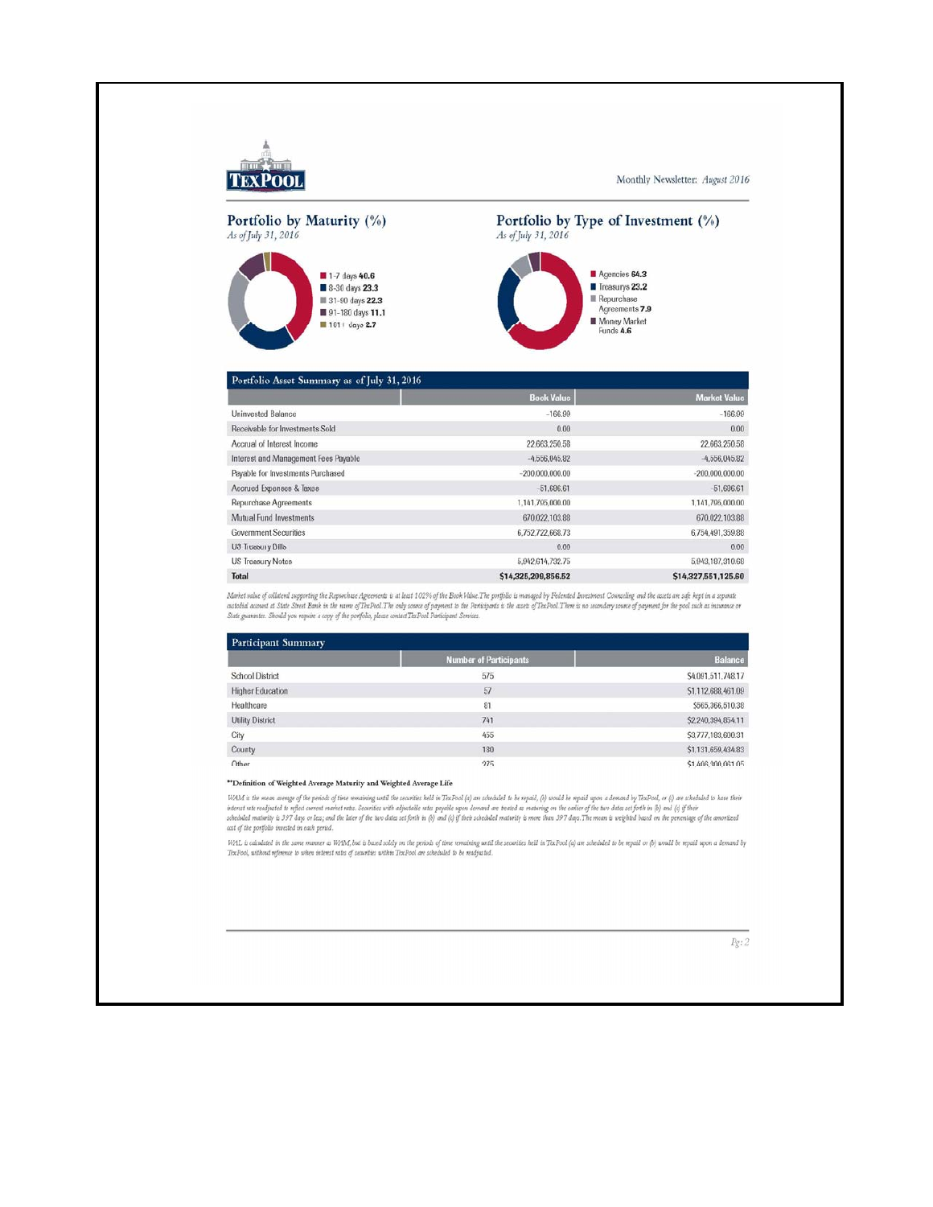

Monthly Newsletter: August 2016

# Portfolio by Maturity (%) As of July 31, 2016



### Portfolio by Type of Investment (%) As of July 31, 2016



#### Portfolio Asset Summary as of July 31, 2016 **Book Value** Market Val **Uninvested Balance**  $-166.99$  $-166.99$ Receivable for Investments Sold  $0.00$  $0.00$ Accrual of Interest Income 22,663,250.58 22,663,250.58 Interest and Management Fees Payable  $-4,556,045.82$  $-4,556,045.82$ Payable for Investments Purchased  $-200,000,000,00$  $-200.000.000.00$ Accrued Expenses & Taxes  $-51,686.61$  $-51,686.61$ Repurchase Agreements 1,141,795,000.00 1,141,795,000.00 Mutual Fund Investments 670,022,103.88 670.022.103.88 6,752,722,668.73 6,754,491,359.88 Government Securities US Treasury Bills  $0.00$  $0.00$ US Treasury Notes 5,942,614,732.75 5,943,187,310.68 Total \$14,325,209,856.52 \$14,327,551,125.60

Market salue of collateral supporting the Repunhase Agreements is at least 10296 of the Book Value. The portfolio is managed by Federated Investment Counciling and the assets are safe kept in a separate<br>custodial account a

| Participant Summary     |                               |                    |  |  |
|-------------------------|-------------------------------|--------------------|--|--|
|                         | <b>Number of Participants</b> | <b>Balance</b>     |  |  |
| <b>School District</b>  | 575                           | S4,091,511,748.17  |  |  |
| <b>Higher Education</b> | 57                            | S1.112.688, 461.09 |  |  |
| Healthcare              | 81                            | \$565,366,510.38   |  |  |
| <b>Utility District</b> | 741                           | \$2,240,394,854.11 |  |  |
| City                    | 455                           | \$3,777,183,600.31 |  |  |
| County                  | 180                           | \$1,131,659,434.83 |  |  |
| Other                   | 275                           | \$1,406,300,061,05 |  |  |

#### \*\* Definition of Weighted Average Maturity and Weighted Average Life

WAM is the mean avenge of the periods of time remaining until the securities held in TexPool of one scheduled to be repaid, (b) would be repaid upon a demand by TexPool, or (c) are scheduled to have their<br>interest rate rea cost of the portfolio invested in each period.

WAL is calculated in the same manner as WAM, but is based solely on the periods of time remaining until the securities held in TexPool (a) are scheduled to be repaid or (b) would be repaid upon a demand by<br>TexPool, without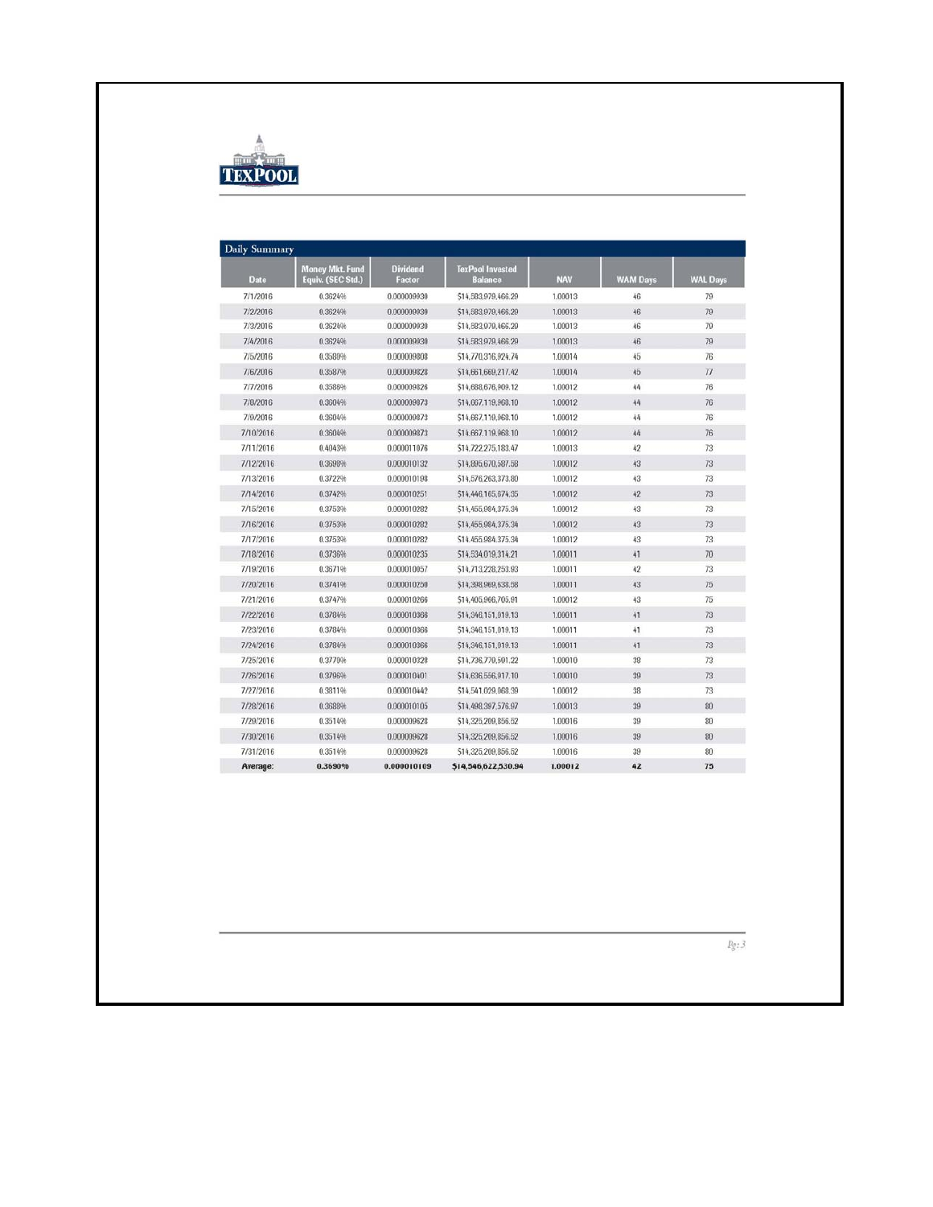

| <b>Date</b> | <b>Money Mkt. Fund</b><br>Equiv. (SEC Std.) | <b>Dividend</b><br>Factor | <b>TexPool Invested</b><br>Balance | <b>NAV</b> | <b>WAM Days</b> | <b>WAL Days</b> |
|-------------|---------------------------------------------|---------------------------|------------------------------------|------------|-----------------|-----------------|
| 7/1/2016    | 0.3624%                                     | 0.000009930               | \$14,583,979,466.29                | 1,00013    | 46              | 79              |
| 7/2/2016    | 0.3624%                                     | 0.000009930               | \$14,583,979,466.29                | 1.00013    | 46              | 79              |
| 7/3/2016    | 0.3624%                                     | 0.000009930               | S14,583,979,466.29                 | 1.00013    | 46              | 79              |
| 7/4/2016    | 0.3624%                                     | 0.000009930               | S14.583.979.466.29                 | 1.00013    | 46              | 79              |
| 7/5/2016    | 0.3580%                                     | 0.000009808               | \$14,770,316,924.74                | 1.00014    | 45              | 76              |
| 7/6/2016    | 0.3587%                                     | 0.000009828               | \$14,661,669,217.42                | 1,00014    | 45              | 77              |
| 7/7/2016    | 0.3586%                                     | 0.000009826               | S14,688,676,909.12                 | 1.00012    | 44              | 76              |
| 7/8/2016    | 0.3604%                                     | 0.000009873               | S14.667.119.968.10                 | 1.00012    | 44              | 76              |
| 7/9/2016    | 0.3604%                                     | 0.000009873               | S14.667.119.968.10                 | 1.00012    | 44              | 76              |
| 7/10/2016   | 0.3604%                                     | 0.000009873               | \$14,667,119,968.10                | 1.00012    | 44              | 76              |
| 7/11/2016   | 0.4043%                                     | 0.000011076               | \$14,722,275,183.47                | 1.00013    | 42              | 73              |
| 7/12/2016   | 0.3698%                                     | 0.000010132               | S14.895,670,587.58                 | 1.00012    | 43              | 73              |
| 7/13/2016   | 0.3722%                                     | 0.000010198               | S14,576,263,373.80                 | 1.00012    | 43              | 73              |
| 7/14/2016   | 0.3742%                                     | 0.000010251               | S14.446.165.674.35                 | 1.00012    | 42              | 73              |
| 7/15/2016   | 0.3753%                                     | 0.000010282               | S14.455,984,375.34                 | 1.00012    | 43              | 73              |
| 7/16/2016   | 0.3753%                                     | 0.000010282               | \$14,455,984,375.34                | 1.00012    | 43              | 73              |
| 7/17/2016   | 0.3753%                                     | 0.000010282               | S14.455,984,375.34                 | 1,00012    | 43              | 73              |
| 7/18/2016   | 0.3736%                                     | 0.000010235               | \$14,534,019,314.21                | 1.00011    | 41              | 70              |
| 7/19/2016   | 0.3671%                                     | 0.000010057               | S14.713.228.253.93                 | 1.00011    | 42              | 73              |
| 7/20/2016   | 0.3741%                                     | 0.000010250               | \$14,398,969,638,58                | 1.00011    | 43              | 75              |
| 7/21/2016   | 0.3747%                                     | 0.000010266               | S14.405.966.705.91                 | 1.00012    | 43              | 75              |
| 7/22/2016   | 0.3784%                                     | 0.000010366               | \$14.346.151.019.13                | 1.00011    | 41              | 73              |
| 7/23/2016   | 0.3784%                                     | 0.000010366               | S14.346.151.019.13                 | 1.00011    | 41              | 73              |
| 7/24/2016   | 0.3784%                                     | 0.000010366               | \$14,346,151,019.13                | 1.00011    | 41              | 73              |
| 7/25/2016   | 0.3770%                                     | 0.000010328               | S14,736,779,591.22                 | 1,00010    | 38              | 73              |
| 7/26/2016   | 0.3796%                                     | 0.000010401               | \$14,636,556,917.10                | 1,00010    | 39              | 73              |
| 7/27/2016   | 0.3811%                                     | 0.000010442               | \$14,541,029,068.39                | 1.00012    | 38              | 73              |
| 7/28/2016   | 0.3688%                                     | 0.000010105               | \$14,498,397,576.97                | 1.00013    | 39              | 80              |
| 7/29/2016   | 0.3514%                                     | 0.000009628               | \$14,325,209,856.52                | 1,00016    | 39              | 80              |
| 7/30/2016   | 0.35149 <sub>b</sub>                        | 0.000009628               | \$14,325,209,856.52                | 1.00016    | 39              | 80              |
| 7/31/2016   | 0.3514%                                     | 0.000009628               | S14.325.209.856.52                 | 1,00016    | 39              | 80              |
| Average:    | 0.3690%                                     | 0.000010109               | \$14,546,622,530.94                | 1.00012    | 42              | 75              |

 $Pg\colon\mathcal{I}$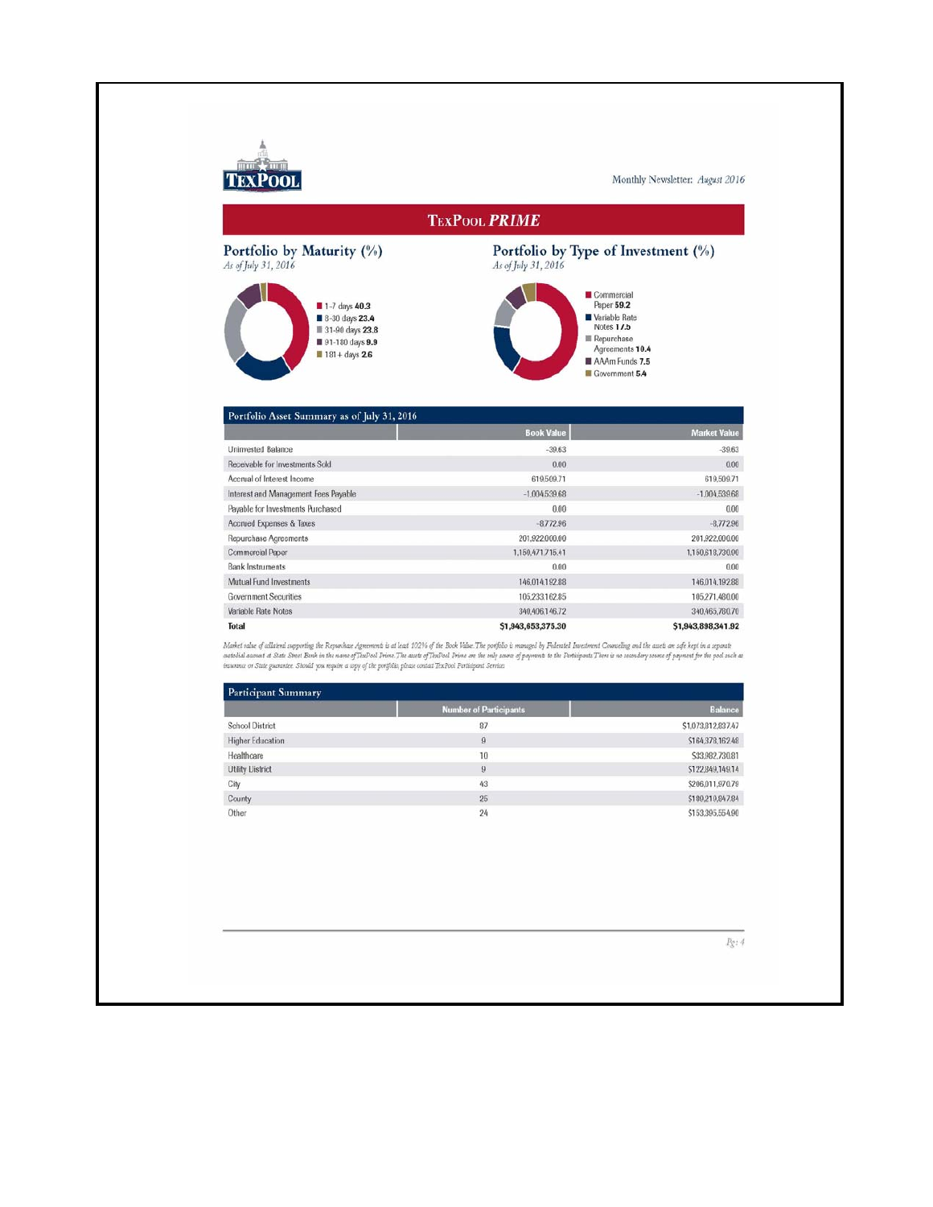

Monthly Newsletter: August 2016

### **TEXPOOL PRIME**

# Portfolio by Maturity (%)  $\frac{As\ of\ July\ 31,2016}$



Portfolio by Type of Investment (%)  $\mathit{As}$  of July 31, 2016



| Portfolio Asset Summary as of July 31, 2016 |                    |                     |  |  |
|---------------------------------------------|--------------------|---------------------|--|--|
|                                             | <b>Book Value</b>  | <b>Market Value</b> |  |  |
| Uninvested Balance                          | $-39.63$           | $-39.63$            |  |  |
| Receivable for Investments Sold             | 0.00               | 0.00                |  |  |
| Accrual of Interest Income                  | 619,509.71         | 619,509.71          |  |  |
| Interest and Management Fees Payable        | $-1.004,539.68$    | $-1.004,539.68$     |  |  |
| Payable for Investments Purchased           | 0.00               | 0.00                |  |  |
| Accrued Expenses & Taxes                    | $-8.772.96$        | $-8.772.96$         |  |  |
| Repurchase Agreements                       | 201,922,000.00     | 201.922.000.00      |  |  |
| <b>Commercial Paper</b>                     | 1,150,471,715,41   | 1,150,618,730.90    |  |  |
| <b>Bank Instruments</b>                     | 0.00               | 0.00                |  |  |
| Mutual Fund Investments                     | 146.014.192.88     | 146,014,192.88      |  |  |
| <b>Government Securities</b>                | 105.233.162.85     | 105,271,480.00      |  |  |
| Variable Rate Notes                         | 340,406,146.72     | 340,465,780.70      |  |  |
| <b>Total</b>                                | \$1,943,653,375.30 | \$1,943,898,341.92  |  |  |

Maket value of wilated suporting the Repurkase Agreements is at last 102% of the Book Value.The profision is manged by Federated Invarients Councing and the assets are self kept in a separate<br>autodial account at State Stat

| <b>Participant Summary</b> |                               |                    |  |  |
|----------------------------|-------------------------------|--------------------|--|--|
|                            | <b>Number of Participants</b> | <b>Balance</b>     |  |  |
| <b>School District</b>     | 87                            | \$1.073.812.837.47 |  |  |
| <b>Higher Education</b>    | $\theta$                      | \$164,378,162.48   |  |  |
| Healthcare                 | 10                            | \$33,982,730.81    |  |  |
| <b>Utility District</b>    | 9                             | \$122,849,149.14   |  |  |
| City                       | 43                            | \$206,011,970.79   |  |  |
| County                     | 25                            | \$189,219,847.84   |  |  |
| Other                      | 24                            | \$153,395,554.90   |  |  |

 $Pg: 4$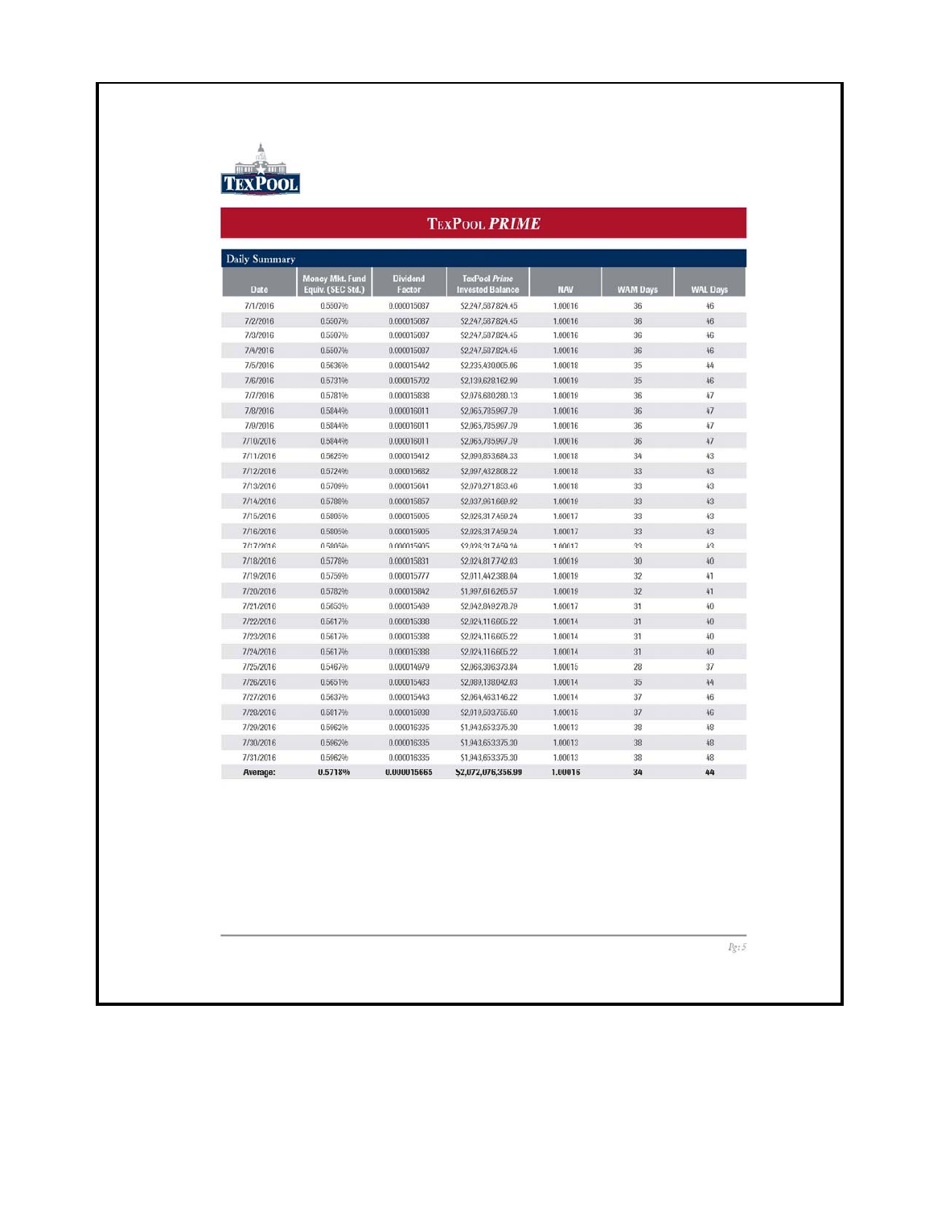

| <b>Daily Summary</b> |                                             |                           |                                                 |            |                 |                 |
|----------------------|---------------------------------------------|---------------------------|-------------------------------------------------|------------|-----------------|-----------------|
| Date                 | <b>Money Mkt. Fund</b><br>Equiv. (SEC Std.) | <b>Dividend</b><br>Factor | <b>TexPool Prime</b><br><b>Invested Balance</b> | <b>NAV</b> | <b>WAM Days</b> | <b>WAL Days</b> |
| 7/1/2016             | 0.5507%                                     | 0.000015087               | \$2.247.587.824.45                              | 1,00016    | 36              | 46              |
| 7/2/2016             | 0.5507%                                     | 0.000015087               | \$2.247.587.824.45                              | 1.00016    | 36              | 46              |
| 7/3/2016             | 0.5507%                                     | 0.000015087               | \$2,247,587,824.45                              | 1.00016    | 36              | 46              |
| 7/4/2016             | 0.5507%                                     | 0.000015087               | S2.247,587,824.45                               | 1.00016    | 36              | 46              |
| 7/5/2016             | 0.5636%                                     | 0.000015442               | \$2,235,430,005.06                              | 1.00018    | 35              | 44              |
| 7/6/2016             | 0.5731%                                     | 0.000015702               | \$2,139,628,162.99                              | 1.00019    | 35              | 46              |
| 7/7/2016             | 0.5781%                                     | 0.000015838               | \$2,076,680,280.13                              | 1.00019    | 36              | 47              |
| 7/8/2016             | 0.5844%                                     | 0.000016011               | \$2,065,785,997.79                              | 1.00016    | 36              | 47              |
| 7/9/2016             | 0.5844%                                     | 0.000016011               | \$2,065,785,997.79                              | 1.00016    | 36              | 47              |
| 7/10/2016            | 0.5844%                                     | 0.000016011               | \$2,065,785,997.79                              | 1.00016    | 36              | 47              |
| 7/11/2016            | 0.5625%                                     | 0.000015412               | \$2,090,853,684.33                              | 1.00018    | 34              | 43              |
| 7/12/2016            | 0.5724%                                     | 0.000015682               | \$2,097,432,808.22                              | 1,00018    | 33              | 43              |
| 7/13/2016            | 0.5709%                                     | 0.000015641               | \$2,070,271,853.46                              | 1.00018    | 33              | 43              |
| 7/14/2016            | 0.5788%                                     | 0.000015857               | \$2,037,961,669.92                              | 1.00019    | 33              | 43              |
| 7/15/2016            | 0.5805%                                     | 0.000015905               | \$2,026,317,459.24                              | 1.00017    | 33              | 43              |
| 7/16/2016            | 0.5805%                                     | 0.000015905               | \$2.026.317.459.24                              | 1,00017    | 33              | 43              |
| 7/17/2016            | 0.5805%                                     | 0.000015905               | \$2,026,317,459.24                              | 1.00017    | 33              | 43              |
| 7/18/2016            | 0.5778%                                     | 0.000015831               | \$2,024,817,742.03                              | 1.00019    | 30              | 40              |
| 7/19/2016            | 0.5759%                                     | 0.000015777               | \$2,011,442,388.04                              | 1.00019    | 32              | 41              |
| 7/20/2016            | 0.5782%                                     | 0.000015842               | \$1,997,616,265.57                              | 1,00019    | 32              | 41              |
| 7/21/2016            | 0.5653%                                     | 0.000015489               | \$2,042,849,278.79                              | 1,00017    | 31              | 40              |
| 7/22/2016            | 0.5617%                                     | 0.000015388               | S2.024.116.605.22                               | 1.00014    | 31              | 40              |
| 7/23/2016            | 0.5617%                                     | 0.000015388               | S2.024.116.605.22                               | 1.00014    | 31              | 40              |
| 7/24/2016            | 0.5617%                                     | 0.000015388               | \$2,024,116,605.22                              | 1.00014    | 31              | 40              |
| 7/25/2016            | 0.5467%                                     | 0.000014979               | \$2,066,306,373.84                              | 1.00015    | 28              | 37              |
| 7/26/2016            | 0.5651%                                     | 0.000015483               | \$2,089,138,042.03                              | 1.00014    | 35              | 44              |
| 7/27/2016            | 0.5637%                                     | 0.000015443               | S2.064.463.146.22                               | 1,00014    | 37              | 46              |
| 7/28/2016            | 0.5817%                                     | 0.000015938               | \$2,019,503,755,60                              | 1,00015    | 37              | 46              |
| 7/29/2016            | 0.5962%                                     | 0.000016335               | \$1,943,653,375.30                              | 1.00013    | 38              | 48              |
| 7/30/2016            | 0.5962%                                     | 0.000016335               | \$1,943,653,375.30                              | 1.00013    | 38              | 48              |
| 7/31/2016            | 0.5962%                                     | 0.000016335               | \$1,943,653,375.30                              | 1.00013    | 38              | 48              |
| Average:             | 0.5718%                                     | 0.000015665               | \$2,072,076,356.99                              | 1.00016    | 34              | 44              |

 $Pg\colon 5$